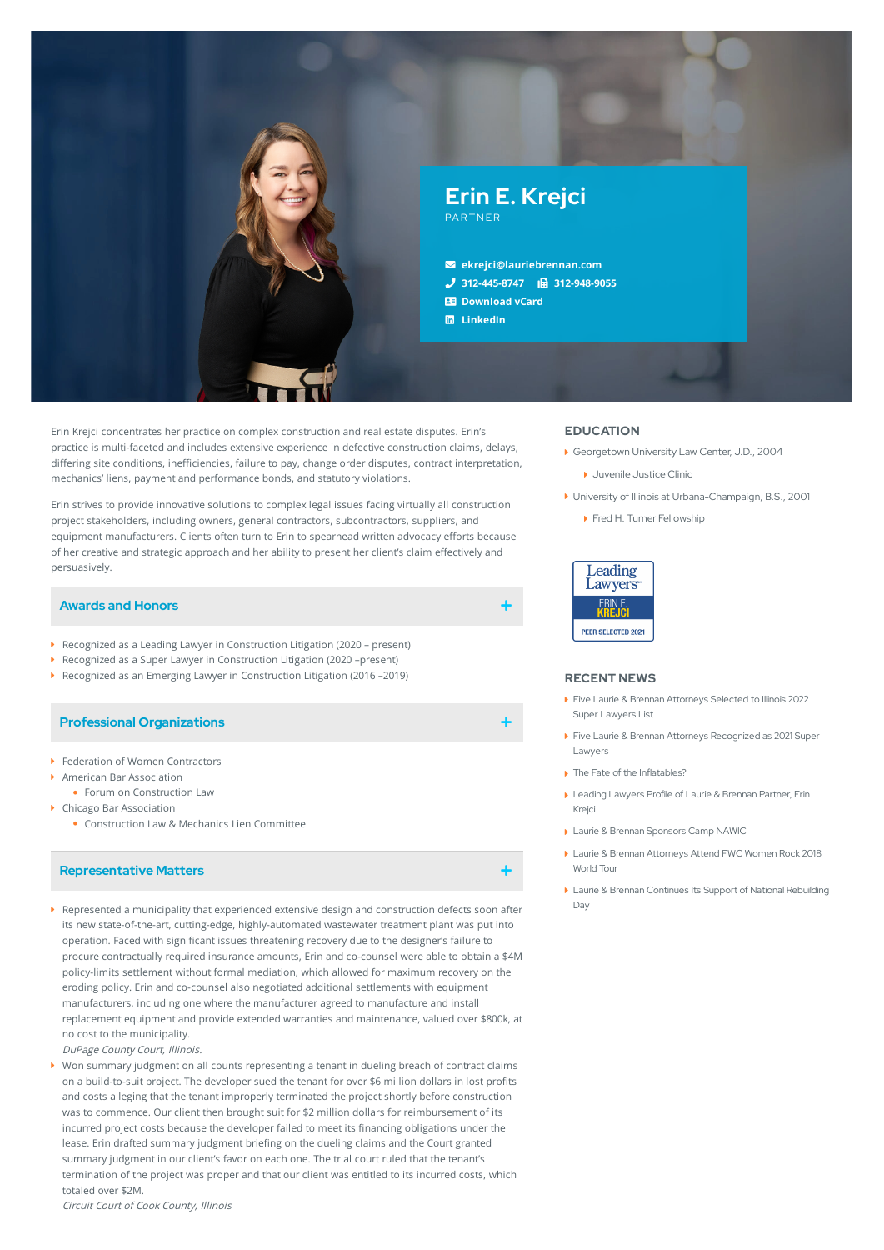

Erin Krejci concentrates her practice on complex construction and real estate disputes. Erin's practice is multi-faceted and includes extensive experience in defective construction claims, delays, differing site conditions, inefficiencies, failure to pay, change order disputes, contract interpretation, mechanics' liens, payment and performance bonds, and statutory violations.

Erin strives to provide innovative solutions to complex legal issues facing virtually all construction project stakeholders, including owners, general contractors, subcontractors, suppliers, and equipment manufacturers. Clients often turn to Erin to spearhead written advocacy efforts because of her creative and strategic approach and her ability to present her client's claim effectively and persuasively.

## **Awards and Honors**

- Recognized as a Leading Lawyer in Construction Litigation (2020 present)
- Recognized as a Super Lawyer in Construction Litigation (2020 –present)
- Recognized as an Emerging Lawyer in Construction Litigation (2016 –2019)

### **Professional Organizations**

- ▶ Federation of Women Contractors
- American Bar Association
	- Forum on Construction Law
- ▶ Chicago Bar Association
	- Construction Law & Mechanics Lien Committee

### **Representative Matters**

- Represented a municipality that experienced extensive design and construction defects soon after its new state-of-the-art, cutting-edge, highly-automated wastewater treatment plant was put into operation. Faced with significant issues threatening recovery due to the designer's failure to procure contractually required insurance amounts, Erin and co-counsel were able to obtain a \$4M policy-limits settlement without formal mediation, which allowed for maximum recovery on the eroding policy. Erin and co-counsel also negotiated additional settlements with equipment manufacturers, including one where the manufacturer agreed to manufacture and install replacement equipment and provide extended warranties and maintenance, valued over \$800k, at no cost to the municipality.
- DuPage County Court, Illinois.
- Won summary judgment on all counts representing a tenant in dueling breach of contract claims on a build-to-suit project. The developer sued the tenant for over \$6 million dollars in lost profits and costs alleging that the tenant improperly terminated the project shortly before construction was to commence. Our client then brought suit for \$2 million dollars for reimbursement of its incurred project costs because the developer failed to meet its financing obligations under the lease. Erin drafted summary judgment briefing on the dueling claims and the Court granted summary judgment in our client's favor on each one. The trial court ruled that the tenant's termination of the project was proper and that our client was entitled to its incurred costs, which totaled over \$2M.

Circuit Court of Cook County, Illinois

# **EDUCATION**

- ▶ Georgetown University Law Center, J.D., 2004
	- Juvenile Justice Clinic
- University of Illinois at Urbana-Champaign, B.S., 2001
	- ▶ Fred H. Turner Fellowship



#### **RECENT NEWS**

- Five Laurie & Brennan [Attorneys](https://www.lauriebrennan.com/blog/five-laurie-brennan-attorneys-selected-to-illinois-2022-super-lawyers-list/) Selected to Illinois 2022 Super Lawyers List
- Five Laurie & Brennan Attorneys [Recognized](https://www.lauriebrennan.com/blog/congratulations-laurie-brennan-2021-super-lawyers/) as 2021 Super Lawyers
- ▶ The Fate of the [Inflatables?](https://www.lauriebrennan.com/blog/the-fate-of-the-inflatables/)
- Leading [Lawyers](https://www.lauriebrennan.com/blog/leading-lawyers-profile-of-laurie-brennan-partner-erin-e-krejci/) Profile of Laurie & Brennan Partner, Erin Krejci
- **Laurie & Brennan [Sponsors](https://www.lauriebrennan.com/blog/laurie-brennan-sponsors-camp-nawic/) Camp NAWIC**
- Laurie & Brennan [Attorneys](https://www.lauriebrennan.com/blog/just-got-back-from-the-fwc-women-rock-2018-world-tour/) Attend FWC Women Rock 2018 World Tour
- Laurie & Brennan Continues Its Support of National [Rebuilding](https://www.lauriebrennan.com/blog/laurie-brennan-continues-its-support-of-national-rebuilding-day/) Day